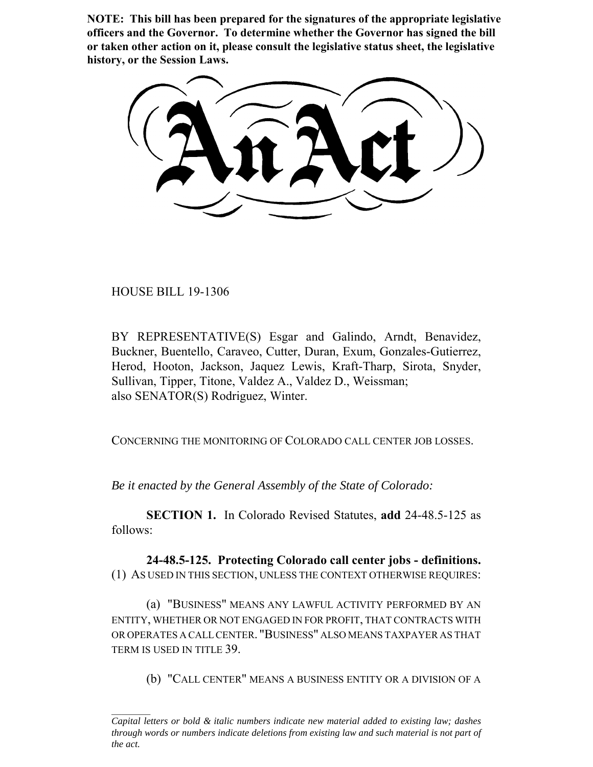**NOTE: This bill has been prepared for the signatures of the appropriate legislative officers and the Governor. To determine whether the Governor has signed the bill or taken other action on it, please consult the legislative status sheet, the legislative history, or the Session Laws.**

HOUSE BILL 19-1306

BY REPRESENTATIVE(S) Esgar and Galindo, Arndt, Benavidez, Buckner, Buentello, Caraveo, Cutter, Duran, Exum, Gonzales-Gutierrez, Herod, Hooton, Jackson, Jaquez Lewis, Kraft-Tharp, Sirota, Snyder, Sullivan, Tipper, Titone, Valdez A., Valdez D., Weissman; also SENATOR(S) Rodriguez, Winter.

CONCERNING THE MONITORING OF COLORADO CALL CENTER JOB LOSSES.

*Be it enacted by the General Assembly of the State of Colorado:*

**SECTION 1.** In Colorado Revised Statutes, **add** 24-48.5-125 as follows:

**24-48.5-125. Protecting Colorado call center jobs - definitions.** (1) AS USED IN THIS SECTION, UNLESS THE CONTEXT OTHERWISE REQUIRES:

(a) "BUSINESS" MEANS ANY LAWFUL ACTIVITY PERFORMED BY AN ENTITY, WHETHER OR NOT ENGAGED IN FOR PROFIT, THAT CONTRACTS WITH OR OPERATES A CALL CENTER. "BUSINESS" ALSO MEANS TAXPAYER AS THAT TERM IS USED IN TITLE 39.

(b) "CALL CENTER" MEANS A BUSINESS ENTITY OR A DIVISION OF A

*Capital letters or bold & italic numbers indicate new material added to existing law; dashes through words or numbers indicate deletions from existing law and such material is not part of the act.*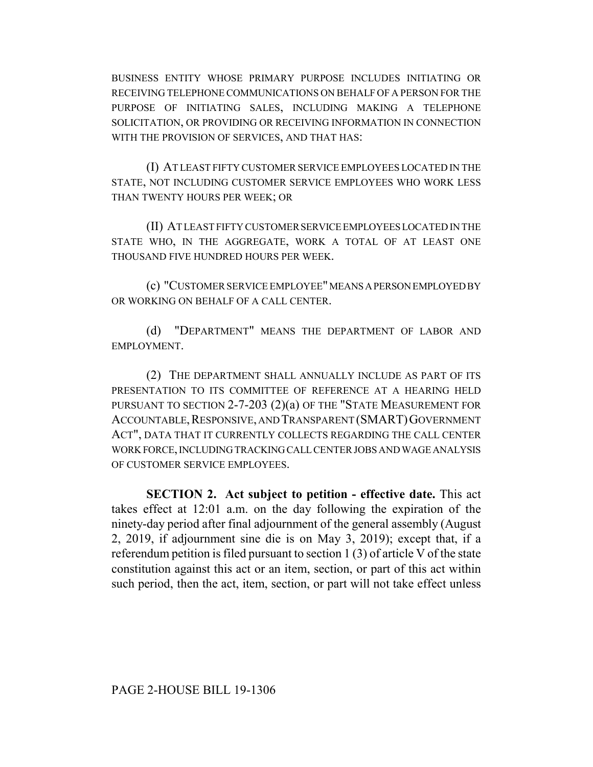BUSINESS ENTITY WHOSE PRIMARY PURPOSE INCLUDES INITIATING OR RECEIVING TELEPHONE COMMUNICATIONS ON BEHALF OF A PERSON FOR THE PURPOSE OF INITIATING SALES, INCLUDING MAKING A TELEPHONE SOLICITATION, OR PROVIDING OR RECEIVING INFORMATION IN CONNECTION WITH THE PROVISION OF SERVICES, AND THAT HAS:

(I) AT LEAST FIFTY CUSTOMER SERVICE EMPLOYEES LOCATED IN THE STATE, NOT INCLUDING CUSTOMER SERVICE EMPLOYEES WHO WORK LESS THAN TWENTY HOURS PER WEEK; OR

(II) AT LEAST FIFTY CUSTOMER SERVICE EMPLOYEES LOCATED IN THE STATE WHO, IN THE AGGREGATE, WORK A TOTAL OF AT LEAST ONE THOUSAND FIVE HUNDRED HOURS PER WEEK.

(c) "CUSTOMER SERVICE EMPLOYEE" MEANS A PERSON EMPLOYED BY OR WORKING ON BEHALF OF A CALL CENTER.

(d) "DEPARTMENT" MEANS THE DEPARTMENT OF LABOR AND EMPLOYMENT.

(2) THE DEPARTMENT SHALL ANNUALLY INCLUDE AS PART OF ITS PRESENTATION TO ITS COMMITTEE OF REFERENCE AT A HEARING HELD PURSUANT TO SECTION 2-7-203 (2)(a) OF THE "STATE MEASUREMENT FOR ACCOUNTABLE,RESPONSIVE, AND TRANSPARENT (SMART)GOVERNMENT ACT", DATA THAT IT CURRENTLY COLLECTS REGARDING THE CALL CENTER WORK FORCE, INCLUDING TRACKING CALL CENTER JOBS AND WAGE ANALYSIS OF CUSTOMER SERVICE EMPLOYEES.

**SECTION 2. Act subject to petition - effective date.** This act takes effect at 12:01 a.m. on the day following the expiration of the ninety-day period after final adjournment of the general assembly (August 2, 2019, if adjournment sine die is on May 3, 2019); except that, if a referendum petition is filed pursuant to section 1 (3) of article V of the state constitution against this act or an item, section, or part of this act within such period, then the act, item, section, or part will not take effect unless